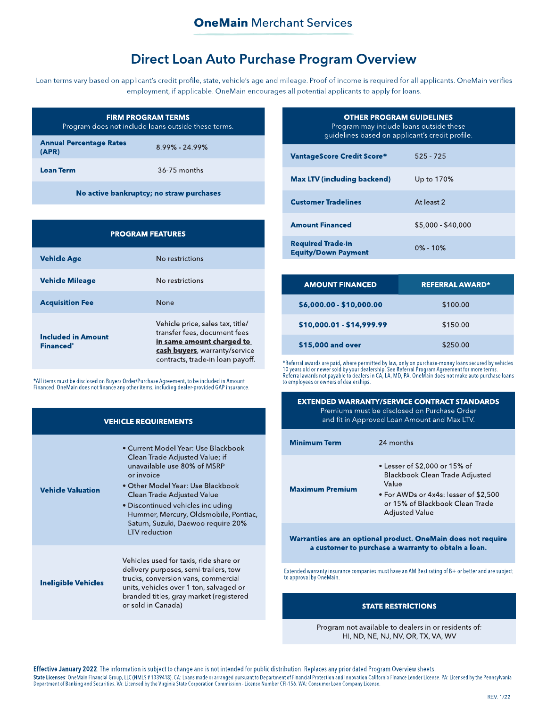# **Direct Loan Auto Purchase Program Overview**

Loan terms vary based on applicant's credit profile, state, vehicle's age and mileage. Proof of income is required for all applicants. OneMain verifies employment, if applicable. OneMain encourages all potential applicants to apply for loans.

|                                         | <b>FIRM PROGRAM TERMS</b><br>Program does not include loans outside these terms. |
|-----------------------------------------|----------------------------------------------------------------------------------|
| <b>Annual Percentage Rates</b><br>(APR) | 8.99% - 24.99%                                                                   |
| <b>Loan Term</b>                        | 36-75 months                                                                     |

No active bankruptcy; no straw purchases

| <b>PROGRAM FEATURES</b>                       |                                                                                                                                                                    |
|-----------------------------------------------|--------------------------------------------------------------------------------------------------------------------------------------------------------------------|
| <b>Vehicle Age</b>                            | No restrictions                                                                                                                                                    |
| <b>Vehicle Mileage</b>                        | No restrictions                                                                                                                                                    |
| <b>Acquisition Fee</b>                        | None                                                                                                                                                               |
| <b>Included in Amount</b><br><b>Financed*</b> | Vehicle price, sales tax, title/<br>transfer fees, document fees<br>in same amount charged to<br>cash buyers, warranty/service<br>contracts, trade-in loan payoff. |

\*All items must be disclosed on Buyers Order/Purchase Agreement, to be included in Amount<br>Financed. OneMain does not finance any other items, including dealer-provided GAP insurance.

|                            | <b>VEHICLE REQUIREMENTS</b>                                                                                                                                                                                                                                                                                                       |
|----------------------------|-----------------------------------------------------------------------------------------------------------------------------------------------------------------------------------------------------------------------------------------------------------------------------------------------------------------------------------|
| <b>Vehicle Valuation</b>   | • Current Model Year: Use Blackbook<br>Clean Trade Adjusted Value; if<br>unavailable use 80% of MSRP<br>or invoice<br>• Other Model Year: Use Blackbook<br>Clean Trade Adjusted Value<br>• Discontinued vehicles including<br>Hummer, Mercury, Oldsmobile, Pontiac,<br>Saturn, Suzuki, Daewoo require 20%<br><b>LTV</b> reduction |
| <b>Ineligible Vehicles</b> | Vehicles used for taxis, ride share or<br>delivery purposes, semi-trailers, tow<br>trucks, conversion vans, commercial<br>units, vehicles over 1 ton, salvaged or<br>branded titles, gray market (registered<br>or sold in Canada)                                                                                                |

| <b>OTHER PROGRAM GUIDELINES</b><br>Program may include loans outside these<br>guidelines based on applicant's credit profile. |                    |
|-------------------------------------------------------------------------------------------------------------------------------|--------------------|
| <b>VantageScore Credit Score®</b>                                                                                             | $525 - 725$        |
| <b>Max LTV (including backend)</b>                                                                                            | Up to 170%         |
| <b>Customer Tradelines</b>                                                                                                    | At least 2         |
| <b>Amount Financed</b>                                                                                                        | \$5,000 - \$40,000 |
| <b>Required Trade-in</b><br><b>Equity/Down Payment</b>                                                                        | $0\% - 10\%$       |

| <b>AMOUNT FINANCED</b>    | <b>REFERRAL AWARD*</b> |
|---------------------------|------------------------|
| \$6,000.00 - \$10,000.00  | \$100.00               |
| \$10,000.01 - \$14,999.99 | \$150.00               |
| \$15,000 and over         | \$250.00               |

\*Referral awards are paid, where permitted by law, only on purchase-money loans secured by vehicles<br>10 years old or newer sold by your dealership. See Referral Program Agreement for more terms.<br>Referral awards not payable

|                         | EATENDED WARRANT MSERVICE CONTRACT STANDARDS<br>Premiums must be disclosed on Purchase Order<br>and fit in Approved Loan Amount and Max LTV.                                         |
|-------------------------|--------------------------------------------------------------------------------------------------------------------------------------------------------------------------------------|
| <b>Minimum Term</b>     | 24 months                                                                                                                                                                            |
| <b>Maximum Premium</b>  | • Lesser of \$2,000 or 15% of<br><b>Blackbook Clean Trade Adjusted</b><br>Value<br>• For AWDs or 4x4s: lesser of \$2,500<br>or 15% of Blackbook Clean Trade<br><b>Adjusted Value</b> |
|                         | Warranties are an optional product. OneMain does not require<br>a customer to purchase a warranty to obtain a loan.                                                                  |
| to approval by OneMain. | Extended warranty insurance companies must have an AM Best rating of $B+$ or better and are subject                                                                                  |
|                         | <b><i>STATE RESTRICTIONS</i></b>                                                                                                                                                     |

Program not available to dealers in or residents of: HI, ND, NE, NJ, NV, OR, TX, VA, WV

Effective January 2022. The information is subject to change and is not intended for public distribution. Replaces any prior dated Program Overview sheets.

State Licenses: OneMain Financial Group, LLC (NMLS # 1339418). CA: Loans made or arranged pursuant to Department of Financial Protection and Innovation California Finance Lender License. PA: Licensed by the Pennsylvania<br>De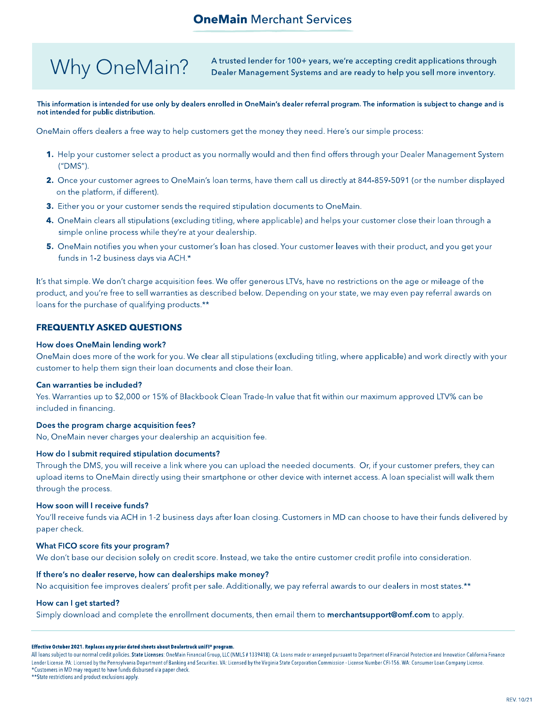# **OneMain Merchant Services**

# Why OneMain?

A trusted lender for 100+ years, we're accepting credit applications through Dealer Management Systems and are ready to help you sell more inventory.

### This information is intended for use only by dealers enrolled in OneMain's dealer referral program. The information is subject to change and is not intended for public distribution.

OneMain offers dealers a free way to help customers get the money they need. Here's our simple process:

- 1. Help your customer select a product as you normally would and then find offers through your Dealer Management System ("DMS").
- 2. Once your customer agrees to OneMain's loan terms, have them call us directly at 844-859-5091 (or the number displayed on the platform, if different).
- 3. Either you or your customer sends the required stipulation documents to OneMain.
- 4. OneMain clears all stipulations (excluding titling, where applicable) and helps your customer close their loan through a simple online process while they're at your dealership.
- 5. OneMain notifies you when your customer's loan has closed. Your customer leaves with their product, and you get your funds in 1-2 business days via ACH.\*

It's that simple. We don't charge acquisition fees. We offer generous LTVs, have no restrictions on the age or mileage of the product, and you're free to sell warranties as described below. Depending on your state, we may even pay referral awards on loans for the purchase of qualifying products.\*\*

# **FREQUENTLY ASKED QUESTIONS**

# How does OneMain lending work?

OneMain does more of the work for you. We clear all stipulations (excluding titling, where applicable) and work directly with your customer to help them sign their loan documents and close their loan.

# Can warranties be included?

Yes. Warranties up to \$2,000 or 15% of Blackbook Clean Trade-In value that fit within our maximum approved LTV% can be included in financing.

# Does the program charge acquisition fees?

No, OneMain never charges your dealership an acquisition fee.

# How do I submit required stipulation documents?

Through the DMS, you will receive a link where you can upload the needed documents. Or, if your customer prefers, they can upload items to OneMain directly using their smartphone or other device with internet access. A loan specialist will walk them through the process.

# How soon will I receive funds?

You'll receive funds via ACH in 1-2 business days after loan closing. Customers in MD can choose to have their funds delivered by paper check.

# What FICO score fits your program?

We don't base our decision solely on credit score. Instead, we take the entire customer credit profile into consideration.

# If there's no dealer reserve, how can dealerships make money?

No acquisition fee improves dealers' profit per sale. Additionally, we pay referral awards to our dealers in most states.\*\*

# How can I get started?

Simply download and complete the enrollment documents, then email them to **merchantsupport@omf.com** to apply.

#### Effective October 2021. Replaces any prior dated sheets about Dealertrack uniFl\* program.

All loans subject to our normal credit policies. State Licenses: OneMain Financial Group, LLC (NMLS # 1339418). CA: Loans made or arranged pursuant to Department of Financial Protection and Innovation California Finance Lender License. PA: Licensed by the Pennsylvania Department of Banking and Securities. VA: Licensed by the Virginia State Corporation Commission - License Number CFI-156. WA: Consumer Loan Company License. \*Customers in MD may request to have funds disbursed via paper check.

\*\* State restrictions and product exclusions apply.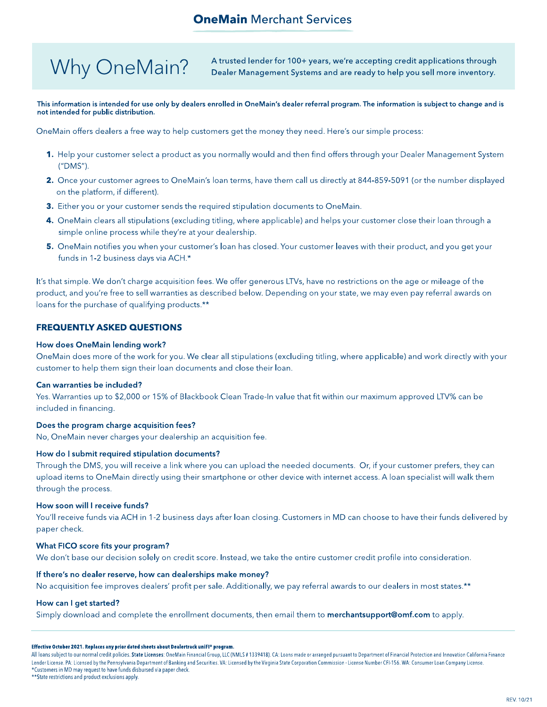# **OneMain Merchant Services**

# Why OneMain?

A trusted lender for 100+ years, we're accepting credit applications through Dealer Management Systems and are ready to help you sell more inventory.

### This information is intended for use only by dealers enrolled in OneMain's dealer referral program. The information is subject to change and is not intended for public distribution.

OneMain offers dealers a free way to help customers get the money they need. Here's our simple process:

- 1. Help your customer select a product as you normally would and then find offers through your Dealer Management System ("DMS").
- 2. Once your customer agrees to OneMain's loan terms, have them call us directly at 844-859-5091 (or the number displayed on the platform, if different).
- 3. Either you or your customer sends the required stipulation documents to OneMain.
- 4. OneMain clears all stipulations (excluding titling, where applicable) and helps your customer close their loan through a simple online process while they're at your dealership.
- 5. OneMain notifies you when your customer's loan has closed. Your customer leaves with their product, and you get your funds in 1-2 business days via ACH.\*

It's that simple. We don't charge acquisition fees. We offer generous LTVs, have no restrictions on the age or mileage of the product, and you're free to sell warranties as described below. Depending on your state, we may even pay referral awards on loans for the purchase of qualifying products.\*\*

# **FREQUENTLY ASKED QUESTIONS**

# How does OneMain lending work?

OneMain does more of the work for you. We clear all stipulations (excluding titling, where applicable) and work directly with your customer to help them sign their loan documents and close their loan.

# Can warranties be included?

Yes. Warranties up to \$2,000 or 15% of Blackbook Clean Trade-In value that fit within our maximum approved LTV% can be included in financing.

# Does the program charge acquisition fees?

No, OneMain never charges your dealership an acquisition fee.

# How do I submit required stipulation documents?

Through the DMS, you will receive a link where you can upload the needed documents. Or, if your customer prefers, they can upload items to OneMain directly using their smartphone or other device with internet access. A loan specialist will walk them through the process.

# How soon will I receive funds?

You'll receive funds via ACH in 1-2 business days after loan closing. Customers in MD can choose to have their funds delivered by paper check.

# What FICO score fits your program?

We don't base our decision solely on credit score. Instead, we take the entire customer credit profile into consideration.

# If there's no dealer reserve, how can dealerships make money?

No acquisition fee improves dealers' profit per sale. Additionally, we pay referral awards to our dealers in most states.\*\*

# How can I get started?

Simply download and complete the enrollment documents, then email them to **merchantsupport@omf.com** to apply.

#### Effective October 2021. Replaces any prior dated sheets about Dealertrack uniFl\* program.

All loans subject to our normal credit policies. State Licenses: OneMain Financial Group, LLC (NMLS # 1339418). CA: Loans made or arranged pursuant to Department of Financial Protection and Innovation California Finance Lender License. PA: Licensed by the Pennsylvania Department of Banking and Securities. VA: Licensed by the Virginia State Corporation Commission - License Number CFI-156. WA: Consumer Loan Company License. \*Customers in MD may request to have funds disbursed via paper check.

\*\* State restrictions and product exclusions apply.